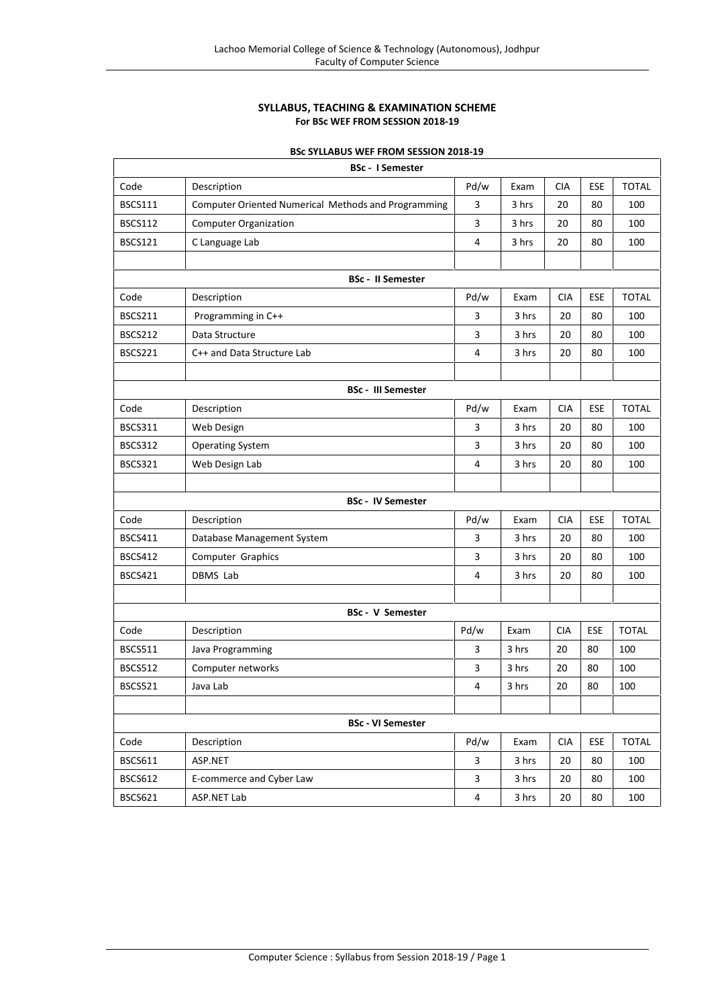# **SYLLABUS, TEACHING & EXAMINATION SCHEME For BSc WEF FROM SESSION 2018-19**

## **BSc SYLLABUS WEF FROM SESSION 2018-19**

|                | <b>BSc - I Semester</b>                                    |      |       |            |            |              |
|----------------|------------------------------------------------------------|------|-------|------------|------------|--------------|
| Code           | Description                                                | Pd/w | Exam  | <b>CIA</b> | <b>ESE</b> | <b>TOTAL</b> |
| <b>BSCS111</b> | <b>Computer Oriented Numerical Methods and Programming</b> | 3    | 3 hrs | 20         | 80         | 100          |
| <b>BSCS112</b> | <b>Computer Organization</b>                               | 3    | 3 hrs | 20         | 80         | 100          |
| <b>BSCS121</b> | C Language Lab                                             | 4    | 3 hrs | 20         | 80         | 100          |
|                |                                                            |      |       |            |            |              |
|                | <b>BSc - II Semester</b>                                   |      |       |            |            |              |
| Code           | Description                                                | Pd/w | Exam  | <b>CIA</b> | ESE        | <b>TOTAL</b> |
| <b>BSCS211</b> | Programming in C++                                         | 3    | 3 hrs | 20         | 80         | 100          |
| <b>BSCS212</b> | Data Structure                                             | 3    | 3 hrs | 20         | 80         | 100          |
| BSCS221        | C++ and Data Structure Lab                                 | 4    | 3 hrs | 20         | 80         | 100          |
|                |                                                            |      |       |            |            |              |
|                | <b>BSc - III Semester</b>                                  |      |       |            |            |              |
| Code           | Description                                                | Pd/w | Exam  | <b>CIA</b> | <b>ESE</b> | <b>TOTAL</b> |
| <b>BSCS311</b> | Web Design                                                 | 3    | 3 hrs | 20         | 80         | 100          |
| <b>BSCS312</b> | <b>Operating System</b>                                    | 3    | 3 hrs | 20         | 80         | 100          |
| <b>BSCS321</b> | Web Design Lab                                             | 4    | 3 hrs | 20         | 80         | 100          |
|                |                                                            |      |       |            |            |              |
|                | <b>BSc - IV Semester</b>                                   |      |       |            |            |              |
| Code           | Description                                                | Pd/w | Exam  | <b>CIA</b> | ESE        | <b>TOTAL</b> |
| <b>BSCS411</b> | Database Management System                                 | 3    | 3 hrs | 20         | 80         | 100          |
| <b>BSCS412</b> | Computer Graphics                                          | 3    | 3 hrs | 20         | 80         | 100          |
| <b>BSCS421</b> | <b>DBMS Lab</b>                                            | 4    | 3 hrs | 20         | 80         | 100          |
|                |                                                            |      |       |            |            |              |
|                | <b>BSc - V Semester</b>                                    |      |       |            |            |              |
| Code           | Description                                                | Pd/w | Exam  | <b>CIA</b> | ESE        | <b>TOTAL</b> |
| <b>BSCS511</b> | Java Programming                                           | 3    | 3 hrs | 20         | 80         | 100          |
| <b>BSCS512</b> | Computer networks                                          | 3    | 3 hrs | 20         | 80         | 100          |
| <b>BSCS521</b> | Java Lab                                                   | 4    | 3 hrs | 20         | 80         | 100          |
|                |                                                            |      |       |            |            |              |
|                | <b>BSc - VI Semester</b>                                   |      |       |            |            |              |
| Code           | Description                                                | Pd/w | Exam  | <b>CIA</b> | ESE        | <b>TOTAL</b> |
| <b>BSCS611</b> | ASP.NET                                                    | 3    | 3 hrs | 20         | 80         | 100          |
| <b>BSCS612</b> | E-commerce and Cyber Law                                   | 3    | 3 hrs | 20         | 80         | 100          |
| <b>BSCS621</b> | ASP.NET Lab                                                | 4    | 3 hrs | 20         | 80         | 100          |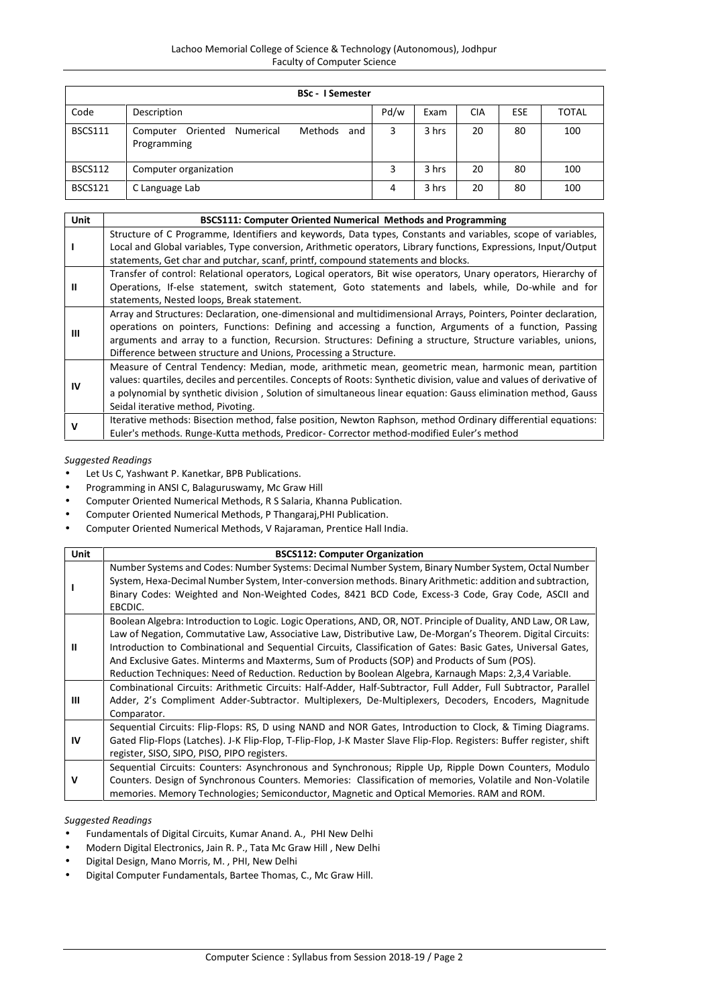| <b>BSc - I Semester</b> |                                                                    |      |       |            |     |              |  |
|-------------------------|--------------------------------------------------------------------|------|-------|------------|-----|--------------|--|
| Code                    | Description                                                        | Pd/w | Exam  | <b>CIA</b> | ESE | <b>TOTAL</b> |  |
| <b>BSCS111</b>          | Methods<br>Oriented<br>Numerical<br>and<br>Computer<br>Programming | 3    | 3 hrs | 20         | 80  | 100          |  |
| <b>BSCS112</b>          | Computer organization                                              | 3    | 3 hrs | 20         | 80  | 100          |  |
| <b>BSCS121</b>          | C Language Lab                                                     | 4    | 3 hrs | 20         | 80  | 100          |  |

| Unit      | <b>BSCS111: Computer Oriented Numerical Methods and Programming</b>                                                                                                                                                                                                                                                                                                                                          |
|-----------|--------------------------------------------------------------------------------------------------------------------------------------------------------------------------------------------------------------------------------------------------------------------------------------------------------------------------------------------------------------------------------------------------------------|
|           | Structure of C Programme, Identifiers and keywords, Data types, Constants and variables, scope of variables,<br>Local and Global variables, Type conversion, Arithmetic operators, Library functions, Expressions, Input/Output<br>statements, Get char and putchar, scanf, printf, compound statements and blocks.                                                                                          |
| Ш         | Transfer of control: Relational operators, Logical operators, Bit wise operators, Unary operators, Hierarchy of<br>Operations, If-else statement, switch statement, Goto statements and labels, while, Do-while and for<br>statements, Nested loops, Break statement.                                                                                                                                        |
| Ш         | Array and Structures: Declaration, one-dimensional and multidimensional Arrays, Pointers, Pointer declaration,<br>operations on pointers, Functions: Defining and accessing a function, Arguments of a function, Passing<br>arguments and array to a function, Recursion. Structures: Defining a structure, Structure variables, unions,<br>Difference between structure and Unions, Processing a Structure. |
| <b>IV</b> | Measure of Central Tendency: Median, mode, arithmetic mean, geometric mean, harmonic mean, partition<br>values: quartiles, deciles and percentiles. Concepts of Roots: Synthetic division, value and values of derivative of<br>a polynomial by synthetic division, Solution of simultaneous linear equation: Gauss elimination method, Gauss<br>Seidal iterative method, Pivoting.                          |
|           | Iterative methods: Bisection method, false position, Newton Raphson, method Ordinary differential equations:<br>Euler's methods. Runge-Kutta methods, Predicor- Corrector method-modified Euler's method                                                                                                                                                                                                     |

- Let Us C, Yashwant P. Kanetkar, BPB Publications.
- Programming in ANSI C, Balaguruswamy, Mc Graw Hill
- Computer Oriented Numerical Methods, R S Salaria, Khanna Publication.
- Computer Oriented Numerical Methods, P Thangaraj,PHI Publication.
- Computer Oriented Numerical Methods, V Rajaraman, Prentice Hall India.

| Unit | <b>BSCS112: Computer Organization</b>                                                                                                                                                                             |
|------|-------------------------------------------------------------------------------------------------------------------------------------------------------------------------------------------------------------------|
|      | Number Systems and Codes: Number Systems: Decimal Number System, Binary Number System, Octal Number<br>System, Hexa-Decimal Number System, Inter-conversion methods. Binary Arithmetic: addition and subtraction, |
|      | Binary Codes: Weighted and Non-Weighted Codes, 8421 BCD Code, Excess-3 Code, Gray Code, ASCII and<br>EBCDIC.                                                                                                      |
|      | Boolean Algebra: Introduction to Logic. Logic Operations, AND, OR, NOT. Principle of Duality, AND Law, OR Law,                                                                                                    |
|      | Law of Negation, Commutative Law, Associative Law, Distributive Law, De-Morgan's Theorem. Digital Circuits:                                                                                                       |
| Ш    | Introduction to Combinational and Sequential Circuits, Classification of Gates: Basic Gates, Universal Gates,                                                                                                     |
|      | And Exclusive Gates. Minterms and Maxterms, Sum of Products (SOP) and Products of Sum (POS).                                                                                                                      |
|      | Reduction Techniques: Need of Reduction. Reduction by Boolean Algebra, Karnaugh Maps: 2,3,4 Variable.                                                                                                             |
|      | Combinational Circuits: Arithmetic Circuits: Half-Adder, Half-Subtractor, Full Adder, Full Subtractor, Parallel                                                                                                   |
| Ш    | Adder, 2's Compliment Adder-Subtractor. Multiplexers, De-Multiplexers, Decoders, Encoders, Magnitude                                                                                                              |
|      | Comparator.                                                                                                                                                                                                       |
|      | Sequential Circuits: Flip-Flops: RS, D using NAND and NOR Gates, Introduction to Clock, & Timing Diagrams.                                                                                                        |
| IV   | Gated Flip-Flops (Latches). J-K Flip-Flop, T-Flip-Flop, J-K Master Slave Flip-Flop. Registers: Buffer register, shift<br>register, SISO, SIPO, PISO, PIPO registers.                                              |
|      | Sequential Circuits: Counters: Asynchronous and Synchronous; Ripple Up, Ripple Down Counters, Modulo                                                                                                              |
| v    | Counters. Design of Synchronous Counters. Memories: Classification of memories, Volatile and Non-Volatile                                                                                                         |
|      | memories. Memory Technologies; Semiconductor, Magnetic and Optical Memories. RAM and ROM.                                                                                                                         |

#### *Suggested Readings*

- Fundamentals of Digital Circuits, Kumar Anand. A., PHI New Delhi
- Modern Digital Electronics, Jain R. P., Tata Mc Graw Hill , New Delhi
- Digital Design, Mano Morris, M. , PHI, New Delhi
- Digital Computer Fundamentals, Bartee Thomas, C., Mc Graw Hill.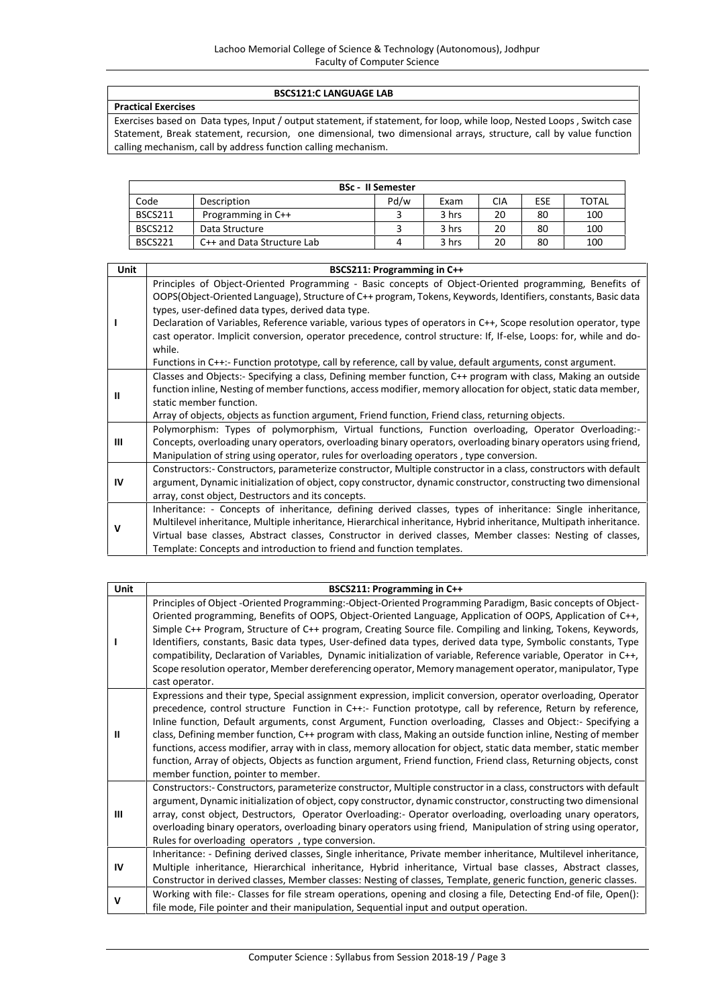### **BSCS121:C LANGUAGE LAB**

**Practical Exercises**

Exercises based on Data types, Input / output statement, if statement, for loop, while loop, Nested Loops , Switch case Statement, Break statement, recursion, one dimensional, two dimensional arrays, structure, call by value function calling mechanism, call by address function calling mechanism.

|                | <b>BSc - II Semester</b>   |      |       |     |     |              |  |
|----------------|----------------------------|------|-------|-----|-----|--------------|--|
| Code           | Description                | Pd/w | Exam  | CIA | ESE | <b>TOTAL</b> |  |
| <b>BSCS211</b> | Programming in $C++$       |      | 3 hrs | 20  | 80  | 100          |  |
| BSCS212        | Data Structure             |      | 3 hrs | 20  | 80  | 100          |  |
| BSCS221        | C++ and Data Structure Lab |      | 3 hrs | 20  | 80  | 100          |  |

| <b>Unit</b> | BSCS211: Programming in C++                                                                                                                                                                                                                                                                                                                                                                                                                                                                                              |
|-------------|--------------------------------------------------------------------------------------------------------------------------------------------------------------------------------------------------------------------------------------------------------------------------------------------------------------------------------------------------------------------------------------------------------------------------------------------------------------------------------------------------------------------------|
|             | Principles of Object-Oriented Programming - Basic concepts of Object-Oriented programming, Benefits of<br>OOPS(Object-Oriented Language), Structure of C++ program, Tokens, Keywords, Identifiers, constants, Basic data<br>types, user-defined data types, derived data type.<br>Declaration of Variables, Reference variable, various types of operators in C++, Scope resolution operator, type<br>cast operator. Implicit conversion, operator precedence, control structure: If, If-else, Loops: for, while and do- |
|             | while.<br>Functions in C++:- Function prototype, call by reference, call by value, default arguments, const argument.                                                                                                                                                                                                                                                                                                                                                                                                    |
| Ш           | Classes and Objects:- Specifying a class, Defining member function, C++ program with class, Making an outside<br>function inline, Nesting of member functions, access modifier, memory allocation for object, static data member,<br>static member function.<br>Array of objects, objects as function argument, Friend function, Friend class, returning objects.                                                                                                                                                        |
| Ш           | Polymorphism: Types of polymorphism, Virtual functions, Function overloading, Operator Overloading:-<br>Concepts, overloading unary operators, overloading binary operators, overloading binary operators using friend,<br>Manipulation of string using operator, rules for overloading operators, type conversion.                                                                                                                                                                                                      |
| IV          | Constructors:- Constructors, parameterize constructor, Multiple constructor in a class, constructors with default<br>argument, Dynamic initialization of object, copy constructor, dynamic constructor, constructing two dimensional<br>array, const object, Destructors and its concepts.                                                                                                                                                                                                                               |
| v           | Inheritance: - Concepts of inheritance, defining derived classes, types of inheritance: Single inheritance,<br>Multilevel inheritance, Multiple inheritance, Hierarchical inheritance, Hybrid inheritance, Multipath inheritance.<br>Virtual base classes, Abstract classes, Constructor in derived classes, Member classes: Nesting of classes,<br>Template: Concepts and introduction to friend and function templates.                                                                                                |

| Unit        | BSCS211: Programming in C++                                                                                                                                                                                                                                                                                                                                                                                                                                                                                                                                                                                                                                                                                                                   |
|-------------|-----------------------------------------------------------------------------------------------------------------------------------------------------------------------------------------------------------------------------------------------------------------------------------------------------------------------------------------------------------------------------------------------------------------------------------------------------------------------------------------------------------------------------------------------------------------------------------------------------------------------------------------------------------------------------------------------------------------------------------------------|
|             | Principles of Object -Oriented Programming:-Object-Oriented Programming Paradigm, Basic concepts of Object-<br>Oriented programming, Benefits of OOPS, Object-Oriented Language, Application of OOPS, Application of C++,<br>Simple C++ Program, Structure of C++ program, Creating Source file. Compiling and linking, Tokens, Keywords,<br>Identifiers, constants, Basic data types, User-defined data types, derived data type, Symbolic constants, Type<br>compatibility, Declaration of Variables, Dynamic initialization of variable, Reference variable, Operator in C++,<br>Scope resolution operator, Member dereferencing operator, Memory management operator, manipulator, Type<br>cast operator.                                 |
| Ш           | Expressions and their type, Special assignment expression, implicit conversion, operator overloading, Operator<br>precedence, control structure Function in C++:- Function prototype, call by reference, Return by reference,<br>Inline function, Default arguments, const Argument, Function overloading, Classes and Object:- Specifying a<br>class, Defining member function, C++ program with class, Making an outside function inline, Nesting of member<br>functions, access modifier, array with in class, memory allocation for object, static data member, static member<br>function, Array of objects, Objects as function argument, Friend function, Friend class, Returning objects, const<br>member function, pointer to member. |
| Ш           | Constructors:- Constructors, parameterize constructor, Multiple constructor in a class, constructors with default<br>argument, Dynamic initialization of object, copy constructor, dynamic constructor, constructing two dimensional<br>array, const object, Destructors, Operator Overloading:- Operator overloading, overloading unary operators,<br>overloading binary operators, overloading binary operators using friend, Manipulation of string using operator,<br>Rules for overloading operators, type conversion.                                                                                                                                                                                                                   |
| IV          | Inheritance: - Defining derived classes, Single inheritance, Private member inheritance, Multilevel inheritance,<br>Multiple inheritance, Hierarchical inheritance, Hybrid inheritance, Virtual base classes, Abstract classes,<br>Constructor in derived classes, Member classes: Nesting of classes, Template, generic function, generic classes.                                                                                                                                                                                                                                                                                                                                                                                           |
| $\mathbf v$ | Working with file:- Classes for file stream operations, opening and closing a file, Detecting End-of file, Open():<br>file mode, File pointer and their manipulation, Sequential input and output operation.                                                                                                                                                                                                                                                                                                                                                                                                                                                                                                                                  |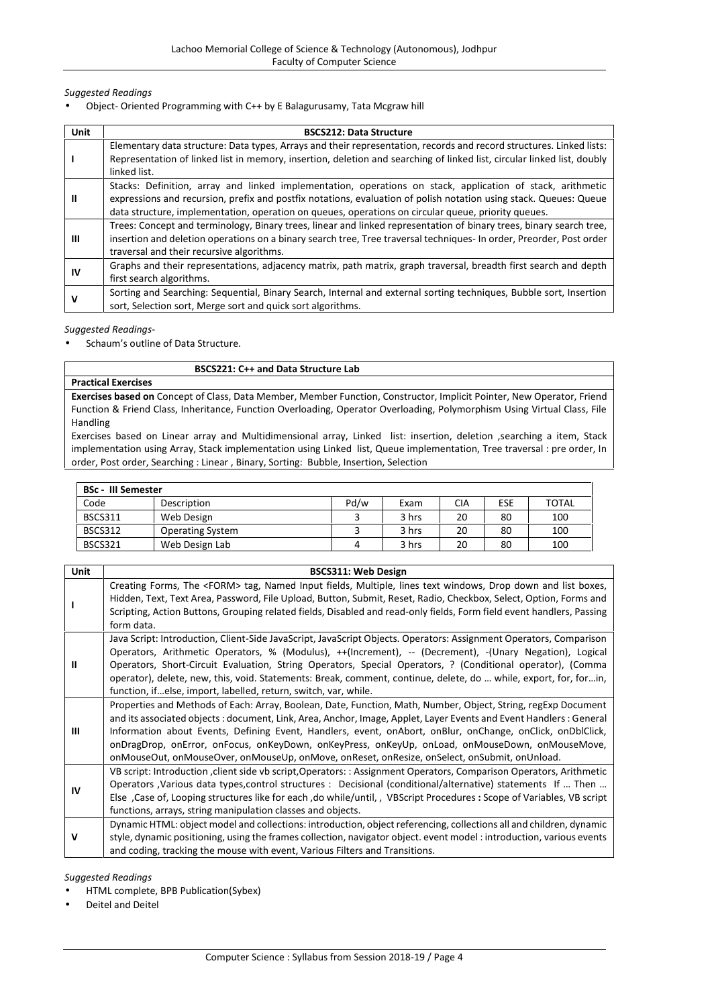Object- Oriented Programming with C++ by E Balagurusamy, Tata Mcgraw hill

| Unit | <b>BSCS212: Data Structure</b>                                                                                                                                                                                                                                                                                                         |
|------|----------------------------------------------------------------------------------------------------------------------------------------------------------------------------------------------------------------------------------------------------------------------------------------------------------------------------------------|
|      | Elementary data structure: Data types, Arrays and their representation, records and record structures. Linked lists:                                                                                                                                                                                                                   |
|      | Representation of linked list in memory, insertion, deletion and searching of linked list, circular linked list, doubly<br>linked list.                                                                                                                                                                                                |
| Ш    | Stacks: Definition, array and linked implementation, operations on stack, application of stack, arithmetic<br>expressions and recursion, prefix and postfix notations, evaluation of polish notation using stack. Queues: Queue<br>data structure, implementation, operation on queues, operations on circular queue, priority queues. |
| Ш    | Trees: Concept and terminology, Binary trees, linear and linked representation of binary trees, binary search tree,<br>insertion and deletion operations on a binary search tree, Tree traversal techniques- In order, Preorder, Post order<br>traversal and their recursive algorithms.                                               |
| IV   | Graphs and their representations, adjacency matrix, path matrix, graph traversal, breadth first search and depth<br>first search algorithms.                                                                                                                                                                                           |
|      | Sorting and Searching: Sequential, Binary Search, Internal and external sorting techniques, Bubble sort, Insertion                                                                                                                                                                                                                     |
|      | sort, Selection sort, Merge sort and quick sort algorithms.                                                                                                                                                                                                                                                                            |

*Suggested Readings*-

Schaum's outline of Data Structure.

### **BSCS221: C++ and Data Structure Lab**

#### **Practical Exercises**

**Exercises based on** Concept of Class, Data Member, Member Function, Constructor, Implicit Pointer, New Operator, Friend Function & Friend Class, Inheritance, Function Overloading, Operator Overloading, Polymorphism Using Virtual Class, File Handling

Exercises based on Linear array and Multidimensional array, Linked list: insertion, deletion ,searching a item, Stack implementation using Array, Stack implementation using Linked list, Queue implementation, Tree traversal : pre order, In order, Post order, Searching : Linear , Binary, Sorting: Bubble, Insertion, Selection

| <b>BSc - III Semester</b> |                         |      |       |            |     |              |
|---------------------------|-------------------------|------|-------|------------|-----|--------------|
| Code                      | Description             | Pd/w | Exam  | <b>CIA</b> | ESE | <b>TOTAL</b> |
| <b>BSCS311</b>            | Web Design              |      | 3 hrs | 20         | 80  | 100          |
| BSCS312                   | <b>Operating System</b> |      | 3 hrs | 20         | 80  | 100          |
| BSCS321                   | Web Design Lab          | 4    | 3 hrs | 20         | 80  | 100          |

| <b>Unit</b>  | <b>BSCS311: Web Design</b>                                                                                                                                                                                                                                                                                                                                                                                                                                                                                                                            |
|--------------|-------------------------------------------------------------------------------------------------------------------------------------------------------------------------------------------------------------------------------------------------------------------------------------------------------------------------------------------------------------------------------------------------------------------------------------------------------------------------------------------------------------------------------------------------------|
|              | Creating Forms, The <form> tag, Named Input fields, Multiple, lines text windows, Drop down and list boxes,<br/>Hidden, Text, Text Area, Password, File Upload, Button, Submit, Reset, Radio, Checkbox, Select, Option, Forms and<br/>Scripting, Action Buttons, Grouping related fields, Disabled and read-only fields, Form field event handlers, Passing<br/>form data.</form>                                                                                                                                                                     |
| $\mathbf{u}$ | Java Script: Introduction, Client-Side JavaScript, JavaScript Objects. Operators: Assignment Operators, Comparison<br>Operators, Arithmetic Operators, % (Modulus), ++(Increment), -- (Decrement), -(Unary Negation), Logical<br>Operators, Short-Circuit Evaluation, String Operators, Special Operators, ? (Conditional operator), (Comma<br>operator), delete, new, this, void. Statements: Break, comment, continue, delete, do  while, export, for, forin,<br>function, ifelse, import, labelled, return, switch, var, while.                    |
| Ш            | Properties and Methods of Each: Array, Boolean, Date, Function, Math, Number, Object, String, regExp Document<br>and its associated objects : document, Link, Area, Anchor, Image, Applet, Layer Events and Event Handlers : General<br>Information about Events, Defining Event, Handlers, event, onAbort, onBlur, onChange, onClick, onDblClick,<br>onDragDrop, onError, onFocus, onKeyDown, onKeyPress, onKeyUp, onLoad, onMouseDown, onMouseMove,<br>onMouseOut, onMouseOver, onMouseUp, onMove, onReset, onResize, onSelect, onSubmit, onUnload. |
| IV           | VB script: Introduction , client side vb script, Operators: : Assignment Operators, Comparison Operators, Arithmetic<br>Operators , Various data types, control structures : Decisional (conditional/alternative) statements If  Then<br>Else, Case of, Looping structures like for each, do while/until, , VBScript Procedures: Scope of Variables, VB script<br>functions, arrays, string manipulation classes and objects.                                                                                                                         |
| v            | Dynamic HTML: object model and collections: introduction, object referencing, collections all and children, dynamic<br>style, dynamic positioning, using the frames collection, navigator object. event model: introduction, various events<br>and coding, tracking the mouse with event, Various Filters and Transitions.                                                                                                                                                                                                                            |

*Suggested Readings*

HTML complete, BPB Publication(Sybex)

Deitel and Deitel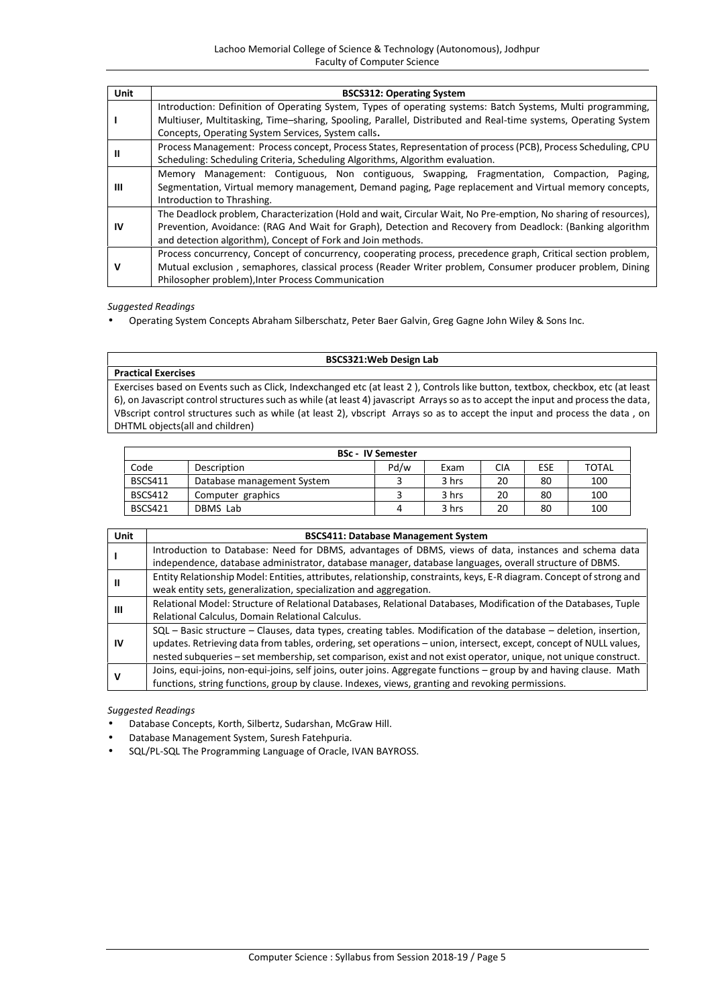| Unit | <b>BSCS312: Operating System</b>                                                                                                                                     |  |  |  |  |  |
|------|----------------------------------------------------------------------------------------------------------------------------------------------------------------------|--|--|--|--|--|
|      | Introduction: Definition of Operating System, Types of operating systems: Batch Systems, Multi programming,                                                          |  |  |  |  |  |
|      | Multiuser, Multitasking, Time-sharing, Spooling, Parallel, Distributed and Real-time systems, Operating System<br>Concepts, Operating System Services, System calls. |  |  |  |  |  |
|      |                                                                                                                                                                      |  |  |  |  |  |
|      | Process Management: Process concept, Process States, Representation of process (PCB), Process Scheduling, CPU                                                        |  |  |  |  |  |
|      | Scheduling: Scheduling Criteria, Scheduling Algorithms, Algorithm evaluation.                                                                                        |  |  |  |  |  |
|      | Memory Management: Contiguous, Non contiguous, Swapping, Fragmentation, Compaction, Paging,                                                                          |  |  |  |  |  |
| Ш    | Segmentation, Virtual memory management, Demand paging, Page replacement and Virtual memory concepts,                                                                |  |  |  |  |  |
|      | Introduction to Thrashing.                                                                                                                                           |  |  |  |  |  |
|      | The Deadlock problem, Characterization (Hold and wait, Circular Wait, No Pre-emption, No sharing of resources),                                                      |  |  |  |  |  |
| IV   | Prevention, Avoidance: (RAG And Wait for Graph), Detection and Recovery from Deadlock: (Banking algorithm                                                            |  |  |  |  |  |
|      | and detection algorithm), Concept of Fork and Join methods.                                                                                                          |  |  |  |  |  |
|      | Process concurrency, Concept of concurrency, cooperating process, precedence graph, Critical section problem,                                                        |  |  |  |  |  |
| v    | Mutual exclusion, semaphores, classical process (Reader Writer problem, Consumer producer problem, Dining                                                            |  |  |  |  |  |
|      | Philosopher problem), Inter Process Communication                                                                                                                    |  |  |  |  |  |

Operating System Concepts Abraham Silberschatz, Peter Baer Galvin, Greg Gagne John Wiley & Sons Inc.

## **BSCS321:Web Design Lab**

**Practical Exercises** Exercises based on Events such as Click, Indexchanged etc (at least 2 ), Controls like button, textbox, checkbox, etc (at least 6), on Javascript control structures such as while (at least 4) javascript Arrays so as to accept the input and process the data, VBscript control structures such as while (at least 2), vbscript Arrays so as to accept the input and process the data , on DHTML objects(all and children)

| <b>BSc - IV Semester</b> |                            |      |       |     |            |              |
|--------------------------|----------------------------|------|-------|-----|------------|--------------|
| Code                     | Description                | Pd/w | Exam  | CIA | <b>ESE</b> | <b>TOTAL</b> |
| <b>BSCS411</b>           | Database management System |      | 3 hrs | 20  | 80         | 100          |
| <b>BSCS412</b>           | Computer graphics          |      | 3 hrs | 20  | 80         | 100          |
| <b>BSCS421</b>           | DBMS Lab                   |      | 3 hrs | 20  | 80         | 100          |

| Unit | <b>BSCS411: Database Management System</b>                                                                           |
|------|----------------------------------------------------------------------------------------------------------------------|
|      | Introduction to Database: Need for DBMS, advantages of DBMS, views of data, instances and schema data                |
|      | independence, database administrator, database manager, database languages, overall structure of DBMS.               |
| Ш    | Entity Relationship Model: Entities, attributes, relationship, constraints, keys, E-R diagram. Concept of strong and |
|      | weak entity sets, generalization, specialization and aggregation.                                                    |
|      | Relational Model: Structure of Relational Databases, Relational Databases, Modification of the Databases, Tuple      |
| Ш    | Relational Calculus, Domain Relational Calculus.                                                                     |
| IV   | SQL - Basic structure - Clauses, data types, creating tables. Modification of the database - deletion, insertion,    |
|      | updates. Retrieving data from tables, ordering, set operations – union, intersect, except, concept of NULL values,   |
|      | nested subqueries – set membership, set comparison, exist and not exist operator, unique, not unique construct.      |
| ν    | Joins, equi-joins, non-equi-joins, self joins, outer joins. Aggregate functions - group by and having clause. Math   |
|      | functions, string functions, group by clause. Indexes, views, granting and revoking permissions.                     |

*Suggested Readings*

- Database Concepts, Korth, Silbertz, Sudarshan, McGraw Hill.
- Database Management System, Suresh Fatehpuria.
- SQL/PL-SQL The Programming Language of Oracle, IVAN BAYROSS.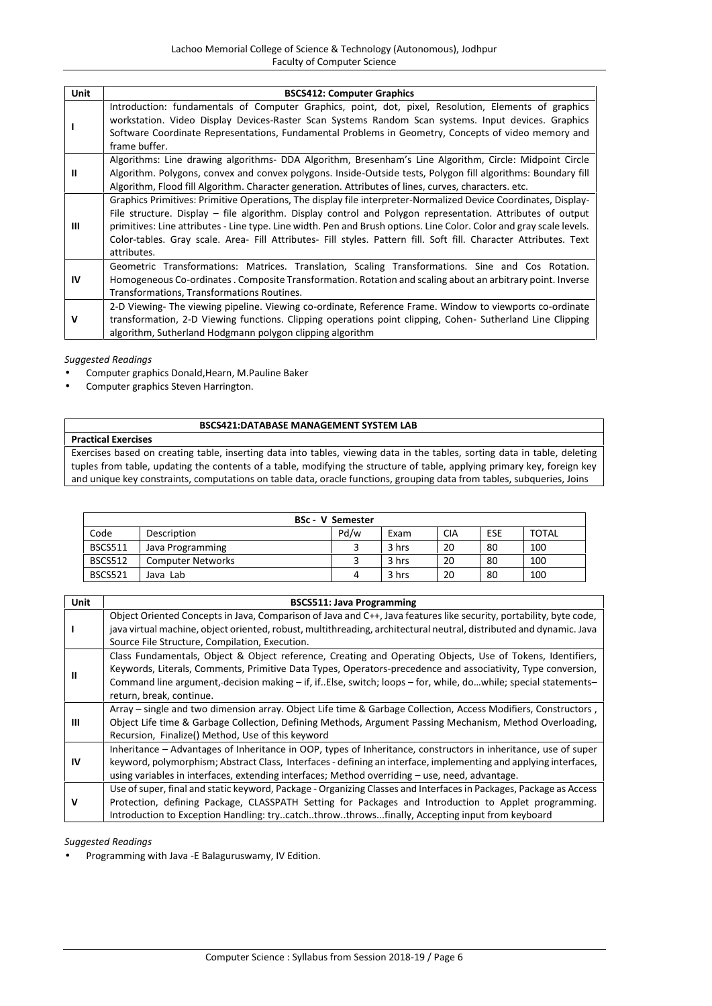| <b>Unit</b> | <b>BSCS412: Computer Graphics</b>                                                                                                                                                                                                                                                                                                                                                                                                                                                         |
|-------------|-------------------------------------------------------------------------------------------------------------------------------------------------------------------------------------------------------------------------------------------------------------------------------------------------------------------------------------------------------------------------------------------------------------------------------------------------------------------------------------------|
|             | Introduction: fundamentals of Computer Graphics, point, dot, pixel, Resolution, Elements of graphics<br>workstation. Video Display Devices-Raster Scan Systems Random Scan systems. Input devices. Graphics<br>Software Coordinate Representations, Fundamental Problems in Geometry, Concepts of video memory and<br>frame buffer.                                                                                                                                                       |
| Ш           | Algorithms: Line drawing algorithms- DDA Algorithm, Bresenham's Line Algorithm, Circle: Midpoint Circle<br>Algorithm. Polygons, convex and convex polygons. Inside-Outside tests, Polygon fill algorithms: Boundary fill<br>Algorithm, Flood fill Algorithm. Character generation. Attributes of lines, curves, characters. etc.                                                                                                                                                          |
| Ш           | Graphics Primitives: Primitive Operations, The display file interpreter-Normalized Device Coordinates, Display-<br>File structure. Display – file algorithm. Display control and Polygon representation. Attributes of output<br>primitives: Line attributes - Line type. Line width. Pen and Brush options. Line Color. Color and gray scale levels.<br>Color-tables. Gray scale. Area- Fill Attributes- Fill styles. Pattern fill. Soft fill. Character Attributes. Text<br>attributes. |
| IV          | Geometric Transformations: Matrices. Translation, Scaling Transformations. Sine and Cos Rotation.<br>Homogeneous Co-ordinates. Composite Transformation. Rotation and scaling about an arbitrary point. Inverse<br>Transformations, Transformations Routines.                                                                                                                                                                                                                             |
| v           | 2-D Viewing- The viewing pipeline. Viewing co-ordinate, Reference Frame. Window to viewports co-ordinate<br>transformation, 2-D Viewing functions. Clipping operations point clipping, Cohen- Sutherland Line Clipping<br>algorithm, Sutherland Hodgmann polygon clipping algorithm                                                                                                                                                                                                       |

- Computer graphics Donald,Hearn, M.Pauline Baker
- Computer graphics Steven Harrington.

#### **BSCS421:DATABASE MANAGEMENT SYSTEM LAB**

**Practical Exercises** Exercises based on creating table, inserting data into tables, viewing data in the tables, sorting data in table, deleting tuples from table, updating the contents of a table, modifying the structure of table, applying primary key, foreign key and unique key constraints, computations on table data, oracle functions, grouping data from tables, subqueries, Joins

|                |                          | <b>BSc - V Semester</b> |       |            |     |              |
|----------------|--------------------------|-------------------------|-------|------------|-----|--------------|
| Code           | Description              | Pd/w                    | Exam  | <b>CIA</b> | ESE | <b>TOTAL</b> |
| BSCS511        | Java Programming         |                         | 3 hrs | 20         | 80  | 100          |
| <b>BSCS512</b> | <b>Computer Networks</b> |                         | 3 hrs | 20         | 80  | 100          |
| <b>BSCS521</b> | Java Lab                 | 4                       | 3 hrs | 20         | 80  | 100          |

| Unit | <b>BSCS511: Java Programming</b>                                                                                    |
|------|---------------------------------------------------------------------------------------------------------------------|
|      | Object Oriented Concepts in Java, Comparison of Java and C++, Java features like security, portability, byte code,  |
|      | java virtual machine, object oriented, robust, multithreading, architectural neutral, distributed and dynamic. Java |
|      | Source File Structure, Compilation, Execution.                                                                      |
|      | Class Fundamentals, Object & Object reference, Creating and Operating Objects, Use of Tokens, Identifiers,          |
|      | Keywords, Literals, Comments, Primitive Data Types, Operators-precedence and associativity, Type conversion,        |
| Ш    | Command line argument, decision making – if, if. Else, switch; loops – for, while, dowhile; special statements–     |
|      | return, break, continue.                                                                                            |
|      | Array - single and two dimension array. Object Life time & Garbage Collection, Access Modifiers, Constructors,      |
| Ш    | Object Life time & Garbage Collection, Defining Methods, Argument Passing Mechanism, Method Overloading,            |
|      | Recursion, Finalize() Method, Use of this keyword                                                                   |
|      | Inheritance – Advantages of Inheritance in OOP, types of Inheritance, constructors in inheritance, use of super     |
| IV   | keyword, polymorphism; Abstract Class, Interfaces - defining an interface, implementing and applying interfaces,    |
|      | using variables in interfaces, extending interfaces; Method overriding - use, need, advantage.                      |
| V    | Use of super, final and static keyword, Package - Organizing Classes and Interfaces in Packages, Package as Access  |
|      | Protection, defining Package, CLASSPATH Setting for Packages and Introduction to Applet programming.                |
|      | Introduction to Exception Handling: trycatchthrowthrowsfinally, Accepting input from keyboard                       |

*Suggested Readings*

Programming with Java -E Balaguruswamy, IV Edition.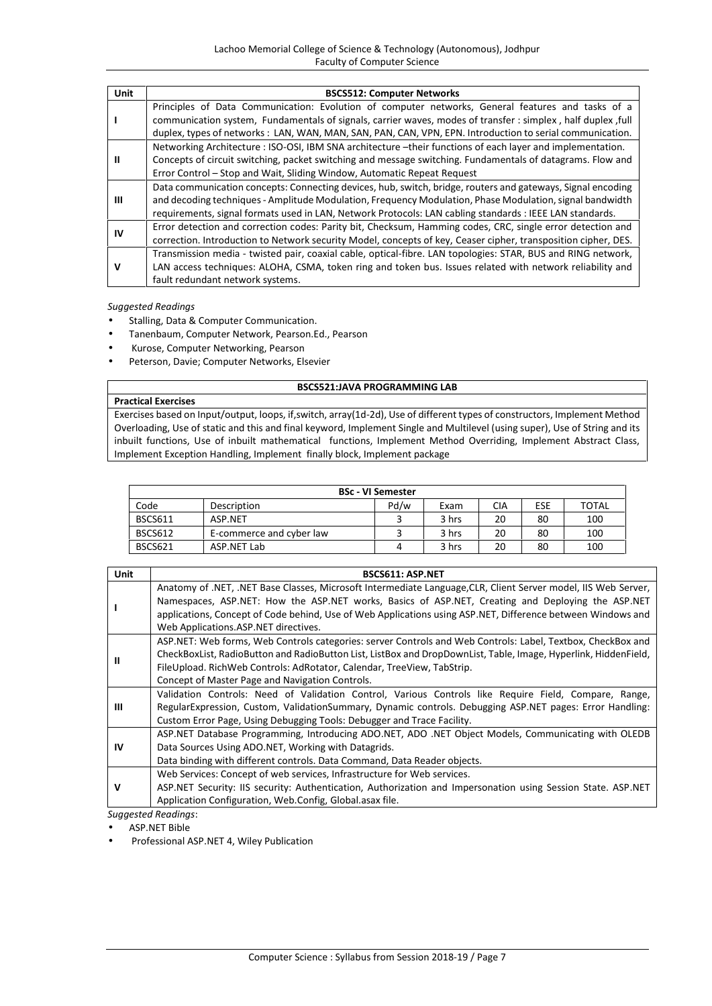| <b>Unit</b> | <b>BSCS512: Computer Networks</b>                                                                              |
|-------------|----------------------------------------------------------------------------------------------------------------|
|             | Principles of Data Communication: Evolution of computer networks, General features and tasks of a              |
|             | communication system, Fundamentals of signals, carrier waves, modes of transfer : simplex, half duplex, full   |
|             | duplex, types of networks: LAN, WAN, MAN, SAN, PAN, CAN, VPN, EPN. Introduction to serial communication.       |
| Ш           | Networking Architecture : ISO-OSI, IBM SNA architecture -their functions of each layer and implementation.     |
|             | Concepts of circuit switching, packet switching and message switching. Fundamentals of datagrams. Flow and     |
|             | Error Control – Stop and Wait, Sliding Window, Automatic Repeat Request                                        |
|             | Data communication concepts: Connecting devices, hub, switch, bridge, routers and gateways, Signal encoding    |
| Ш           | and decoding techniques - Amplitude Modulation, Frequency Modulation, Phase Modulation, signal bandwidth       |
|             | requirements, signal formats used in LAN, Network Protocols: LAN cabling standards : IEEE LAN standards.       |
| IV          | Error detection and correction codes: Parity bit, Checksum, Hamming codes, CRC, single error detection and     |
|             | correction. Introduction to Network security Model, concepts of key, Ceaser cipher, transposition cipher, DES. |
| V           | Transmission media - twisted pair, coaxial cable, optical-fibre. LAN topologies: STAR, BUS and RING network,   |
|             | LAN access techniques: ALOHA, CSMA, token ring and token bus. Issues related with network reliability and      |
|             | fault redundant network systems.                                                                               |

- Stalling, Data & Computer Communication.
- Tanenbaum, Computer Network, Pearson.Ed., Pearson
- Kurose, Computer Networking, Pearson
- Peterson, Davie; Computer Networks, Elsevier

## **BSCS521:JAVA PROGRAMMING LAB**

#### **Practical Exercises**

Exercises based on Input/output, loops, if,switch, array(1d-2d), Use of different types of constructors, Implement Method Overloading, Use of static and this and final keyword, Implement Single and Multilevel (using super), Use of String and its inbuilt functions, Use of inbuilt mathematical functions, Implement Method Overriding, Implement Abstract Class, Implement Exception Handling, Implement finally block, Implement package

| <b>BSc - VI Semester</b> |                          |      |       |     |     |              |
|--------------------------|--------------------------|------|-------|-----|-----|--------------|
| Code                     | Description              | Pd/w | Exam  | CIA | ESE | <b>TOTAL</b> |
| <b>BSCS611</b>           | ASP.NET                  |      | 3 hrs | 20  | 80  | 100          |
| <b>BSCS612</b>           | E-commerce and cyber law |      | 3 hrs | 20  | 80  | 100          |
| <b>BSCS621</b>           | ASP.NET Lab              |      | 3 hrs | 20  | 80  | 100          |

| Unit      | <b>BSCS611: ASP.NET</b>                                                                                         |
|-----------|-----------------------------------------------------------------------------------------------------------------|
|           | Anatomy of .NET, .NET Base Classes, Microsoft Intermediate Language, CLR, Client Server model, IIS Web Server,  |
|           | Namespaces, ASP.NET: How the ASP.NET works, Basics of ASP.NET, Creating and Deploying the ASP.NET               |
|           | applications, Concept of Code behind, Use of Web Applications using ASP.NET, Difference between Windows and     |
|           | Web Applications.ASP.NET directives.                                                                            |
| Ш         | ASP.NET: Web forms, Web Controls categories: server Controls and Web Controls: Label, Textbox, CheckBox and     |
|           | CheckBoxList, RadioButton and RadioButton List, ListBox and DropDownList, Table, Image, Hyperlink, HiddenField, |
|           | FileUpload. RichWeb Controls: AdRotator, Calendar, TreeView, TabStrip.                                          |
|           | Concept of Master Page and Navigation Controls.                                                                 |
|           | Validation Controls: Need of Validation Control, Various Controls like Require Field, Compare, Range,           |
| Ш         | RegularExpression, Custom, ValidationSummary, Dynamic controls. Debugging ASP.NET pages: Error Handling:        |
|           | Custom Error Page, Using Debugging Tools: Debugger and Trace Facility.                                          |
|           | ASP.NET Database Programming, Introducing ADO.NET, ADO .NET Object Models, Communicating with OLEDB             |
| <b>IV</b> | Data Sources Using ADO.NET, Working with Datagrids.                                                             |
|           | Data binding with different controls. Data Command, Data Reader objects.                                        |
|           | Web Services: Concept of web services, Infrastructure for Web services.                                         |
| v         | ASP.NET Security: IIS security: Authentication, Authorization and Impersonation using Session State. ASP.NET    |
|           | Application Configuration, Web.Config, Global.asax file.                                                        |

*Suggested Readings*:

ASP.NET Bible

Professional ASP.NET 4, Wiley Publication